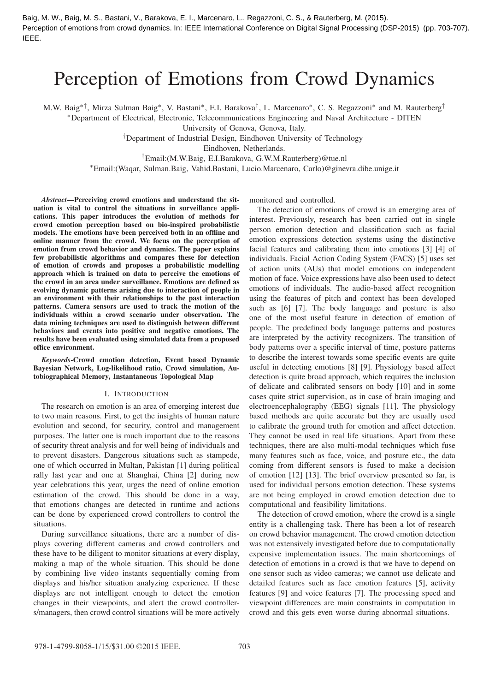Baig, M. W., Baig, M. S., Bastani, V., Barakova, E. I., Marcenaro, L., Regazzoni, C. S., & Rauterberg, M. (2015). Perception of emotions from crowd dynamics. In: IEEE International Conference on Digital Signal Processing (DSP-2015) (pp. 703-707). IEEE.

# Perception of Emotions from Crowd Dynamics

M.W. Baig∗†, Mirza Sulman Baig∗, V. Bastani∗, E.I. Barakova†, L. Marcenaro∗, C. S. Regazzoni∗ and M. Rauterberg†

∗Department of Electrical, Electronic, Telecommunications Engineering and Naval Architecture - DITEN

University of Genova, Genova, Italy.

†Department of Industrial Design, Eindhoven University of Technology

Eindhoven, Netherlands.

†Email:(M.W.Baig, E.I.Barakova, G.W.M.Rauterberg)@tue.nl

∗Email:(Waqar, Sulman.Baig, Vahid.Bastani, Lucio.Marcenaro, Carlo)@ginevra.dibe.unige.it

*Abstract***—Perceiving crowd emotions and understand the situation is vital to control the situations in surveillance applications. This paper introduces the evolution of methods for crowd emotion perception based on bio-inspired probabilistic models. The emotions have been perceived both in an offline and online manner from the crowd. We focus on the perception of emotion from crowd behavior and dynamics. The paper explains few probabilistic algorithms and compares these for detection of emotion of crowds and proposes a probabilistic modelling approach which is trained on data to perceive the emotions of the crowd in an area under surveillance. Emotions are defined as evolving dynamic patterns arising due to interaction of people in an environment with their relationships to the past interaction patterns. Camera sensors are used to track the motion of the individuals within a crowd scenario under observation. The data mining techniques are used to distinguish between different behaviors and events into positive and negative emotions. The results have been evaluated using simulated data from a proposed office environment.**

*Keywords***-Crowd emotion detection, Event based Dynamic Bayesian Network, Log-likelihood ratio, Crowd simulation, Autobiographical Memory, Instantaneous Topological Map**

## I. INTRODUCTION

The research on emotion is an area of emerging interest due to two main reasons. First, to get the insights of human nature evolution and second, for security, control and management purposes. The latter one is much important due to the reasons of security threat analysis and for well being of individuals and to prevent disasters. Dangerous situations such as stampede, one of which occurred in Multan, Pakistan [1] during political rally last year and one at Shanghai, China [2] during new year celebrations this year, urges the need of online emotion estimation of the crowd. This should be done in a way, that emotions changes are detected in runtime and actions can be done by experienced crowd controllers to control the situations.

During surveillance situations, there are a number of displays covering different cameras and crowd controllers and these have to be diligent to monitor situations at every display, making a map of the whole situation. This should be done by combining live video instants sequentially coming from displays and his/her situation analyzing experience. If these displays are not intelligent enough to detect the emotion changes in their viewpoints, and alert the crowd controllers/managers, then crowd control situations will be more actively

monitored and controlled.

The detection of emotions of crowd is an emerging area of interest. Previously, research has been carried out in single person emotion detection and classification such as facial emotion expressions detection systems using the distinctive facial features and calibrating them into emotions [3] [4] of individuals. Facial Action Coding System (FACS) [5] uses set of action units (AUs) that model emotions on independent motion of face. Voice expressions have also been used to detect emotions of individuals. The audio-based affect recognition using the features of pitch and context has been developed such as [6] [7]. The body language and posture is also one of the most useful feature in detection of emotion of people. The predefined body language patterns and postures are interpreted by the activity recognizers. The transition of body patterns over a specific interval of time, posture patterns to describe the interest towards some specific events are quite useful in detecting emotions [8] [9]. Physiology based affect detection is quite broad approach, which requires the inclusion of delicate and calibrated sensors on body [10] and in some cases quite strict supervision, as in case of brain imaging and electroencephalography (EEG) signals [11]. The physiology based methods are quite accurate but they are usually used to calibrate the ground truth for emotion and affect detection. They cannot be used in real life situations. Apart from these techniques, there are also multi-modal techniques which fuse many features such as face, voice, and posture etc., the data coming from different sensors is fused to make a decision of emotion [12] [13]. The brief overview presented so far, is used for individual persons emotion detection. These systems are not being employed in crowd emotion detection due to computational and feasibility limitations.

The detection of crowd emotion, where the crowd is a single entity is a challenging task. There has been a lot of research on crowd behavior management. The crowd emotion detection was not extensively investigated before due to computationally expensive implementation issues. The main shortcomings of detection of emotions in a crowd is that we have to depend on one sensor such as video cameras; we cannot use delicate and detailed features such as face emotion features [5], activity features [9] and voice features [7]. The processing speed and viewpoint differences are main constraints in computation in crowd and this gets even worse during abnormal situations.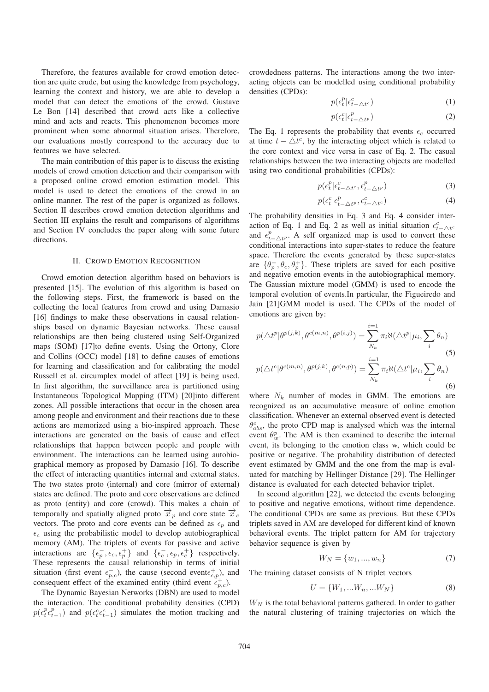Therefore, the features available for crowd emotion detection are quite crude, but using the knowledge from psychology, learning the context and history, we are able to develop a model that can detect the emotions of the crowd. Gustave Le Bon [14] described that crowd acts like a collective mind and acts and reacts. This phenomenon becomes more prominent when some abnormal situation arises. Therefore, our evaluations mostly correspond to the accuracy due to features we have selected.

The main contribution of this paper is to discuss the existing models of crowd emotion detection and their comparison with a proposed online crowd emotion estimation model. This model is used to detect the emotions of the crowd in an online manner. The rest of the paper is organized as follows. Section II describes crowd emotion detection algorithms and Section III explains the result and comparisons of algorithms and Section IV concludes the paper along with some future directions.

## II. CROWD EMOTION RECOGNITION

Crowd emotion detection algorithm based on behaviors is presented [15]. The evolution of this algorithm is based on the following steps. First, the framework is based on the collecting the local features from crowd and using Damasio [16] findings to make these observations in causal relationships based on dynamic Bayesian networks. These causal relationships are then being clustered using Self-Organized maps (SOM) [17]to define events. Using the Ortony, Clore and Collins (OCC) model [18] to define causes of emotions for learning and classification and for calibrating the model Russell et al. circumplex model of affect [19] is being used. In first algorithm, the surveillance area is partitioned using Instantaneous Topological Mapping (ITM) [20]into different zones. All possible interactions that occur in the chosen area among people and environment and their reactions due to these actions are memorized using a bio-inspired approach. These interactions are generated on the basis of cause and effect relationships that happen between people and people with environment. The interactions can be learned using autobiographical memory as proposed by Damasio [16]. To describe the effect of interacting quantities internal and external states. The two states proto (internal) and core (mirror of external) states are defined. The proto and core observations are defined as proto (entity) and core (crowd). This makes a chain of temporally and spatially aligned proto  $\vec{x}_p$  and core state  $\vec{x}_c$ vectors. The proto and core events can be defined as  $\epsilon_p$  and  $\epsilon_c$  using the probabilistic model to develop autobiographical memory (AM). The triplets of events for passive and active interactions are  $\{\epsilon_p^-, \epsilon_c, \epsilon_p^+\}$  and  $\{\epsilon_c^-, \epsilon_p, \epsilon_c^+\}$  respectively. These represents the causal relationship in terms of initial situation (first event  $\epsilon_{p,c}^-$ ), the cause (second event $\epsilon_{c,p}^+$ ), and consequent effect of the examined entity (third event  $\hat{\epsilon}_{p,c}^{+}$ ).

The Dynamic Bayesian Networks (DBN) are used to model the interaction. The conditional probability densities (CPD)  $p(\epsilon_t^p \epsilon_{t-1}^p)$  and  $p(\epsilon_t^c \epsilon_{t-1}^c)$  simulates the motion tracking and crowdedness patterns. The interactions among the two interacting objects can be modelled using conditional probability densities (CPDs):

$$
p(\epsilon_t^p | \epsilon_{t - \triangle t^c}^c) \tag{1}
$$

$$
p(\epsilon_t^c | \epsilon_{t - \triangle t^p}^p)
$$
 (2)

The Eq. 1 represents the probability that events  $\epsilon_c$  occurred at time  $t - \Delta t^c$ , by the interacting object which is related to the core context and vice versa in case of Eq. 2. The casual relationships between the two interacting objects are modelled using two conditional probabilities (CPDs):

$$
p(\epsilon_t^p | \epsilon_{t - \Delta t^c}^c, \epsilon_{t - \Delta t^p}^p)
$$
\n(3)

$$
p(\epsilon_t^c | \epsilon_{t - \Delta t^p}^p, \epsilon_{t - \Delta t^c}^c)
$$
\n<sup>(4)</sup>

The probability densities in Eq. 3 and Eq. 4 consider interaction of Eq. 1 and Eq. 2 as well as initial situation  $\epsilon_{t-\Delta t_c}^c$ and  $\epsilon_{t-\Delta t p}^p$ . A self organized map is used to convert these conditional interactions into super-states to reduce the feature space. Therefore the events generated by these super-states are  $\{\theta_p^-, \theta_c, \theta_p^+\}$ . These triplets are saved for each positive and negative emotion events in the autobiographical memory. The Gaussian mixture model (GMM) is used to encode the temporal evolution of events.In particular, the Figueiredo and Jain [21]GMM model is used. The CPDs of the model of emotions are given by:

$$
p(\triangle t^p | \theta^{p(j,k)}, \theta^{c(m,n)}, \theta^{p(i,j)}) = \sum_{N_k}^{i=1} \pi_i \aleph(\triangle t^p | \mu_i, \sum_i \theta_n)
$$
  
(5)  

$$
p(\triangle t^c | \theta^{c(m,n)}, \theta^{p(j,k)}, \theta^{c(n,p)}) = \sum_{N_k}^{i=1} \pi_i \aleph(\triangle t^c | \mu_i, \sum_i \theta_n)
$$
  
(6)

where  $N_k$  number of modes in GMM. The emotions are recognized as an accumulative measure of online emotion classification. Whenever an external observed event is detected  $\theta_{obs}^c$ , the proto CPD map is analysed which was the internal event  $\theta_w^p$ . The AM is then examined to describe the internal event, its belonging to the emotion class w, which could be positive or negative. The probability distribution of detected event estimated by GMM and the one from the map is evaluated for matching by Hellinger Distance [29]. The Hellinger distance is evaluated for each detected behavior triplet.

In second algorithm [22], we detected the events belonging to positive and negative emotions, without time dependence. The conditional CPDs are same as previous. But these CPDs triplets saved in AM are developed for different kind of known behavioral events. The triplet pattern for AM for trajectory behavior sequence is given by

$$
W_N = \{w_1, ..., w_n\}
$$
 (7)

The training dataset consists of N triplet vectors

$$
U = \{W_1, \dots W_n, \dots W_N\}
$$
 (8)

 $W_N$  is the total behavioral patterns gathered. In order to gather the natural clustering of training trajectories on which the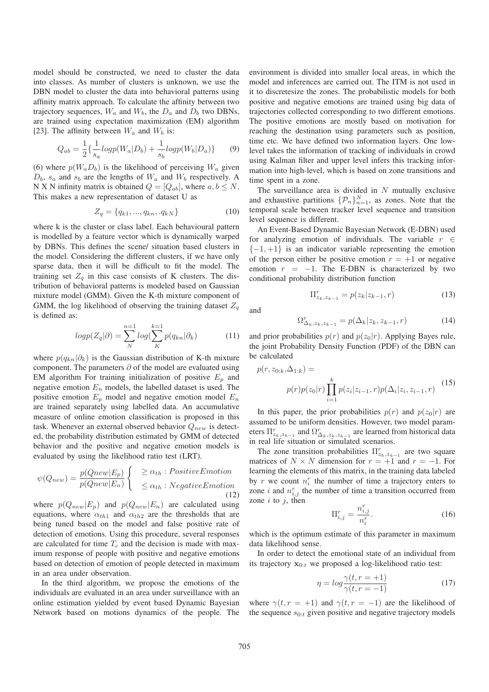model should be constructed, we need to cluster the data into classes. As number of clusters is unknown, we use the DBN model to cluster the data into behavioral patterns using affinity matrix approach. To calculate the affinity between two trajectory sequences,  $W_a$  and  $W_b$ , the  $D_a$  and  $D_b$  two DBNs, are trained using expectation maximization (EM) algorithm [23]. The affinity between  $W_a$  and  $W_b$  is:

$$
Q_{ab} = \frac{1}{2} \{ \frac{1}{s_a} log p(W_a | D_b) + \frac{1}{s_b} log p(W_b | D_a) \} \tag{9}
$$

(6) where  $p(W_a D_b)$  is the likelihood of perceiving  $W_a$  given  $D_b$ ,  $s_a$  and  $s_b$  are the lengths of  $W_a$  and  $W_b$  respectively. A N X N infinity matrix is obtained  $Q = [Q_{ab}]$ , where  $a, b \le N$ . This makes a new representation of dataset U as

$$
Z_q = \{q_{k1}, \dots, q_{kn}, q_{kN}\}\tag{10}
$$

where k is the cluster or class label. Each behavioural pattern is modelled by a feature vector which is dynamically warped by DBNs. This defines the scene/ situation based clusters in the model. Considering the different clusters, if we have only sparse data, then it will be difficult to fit the model. The training set  $Z_a$  in this case consists of K clusters. The distribution of behavioral patterns is modeled based on Gaussian mixture model (GMM). Given the K-th mixture component of GMM, the log likelihood of observing the training dataset  $Z_q$ is defined as:

$$
logp(Z_q|\partial) = \sum_{N}^{n=1} log(\sum_{K}^{k=1} p(q_{kn}|\partial_k)
$$
 (11)

where  $p(q_{kn}|\partial_k)$  is the Gaussian distribution of K-th mixture component. The parameters  $\partial$  of the model are evaluated using EM algorithm For training initialization of positive  $E_n$  and negative emotion  $E_n$  models, the labelled dataset is used. The positive emotion  $E_p$  model and negative emotion model  $E_n$ are trained separately using labelled data. An accumulative measure of online emotion classification is proposed in this task. Whenever an external observed behavior  $Q_{new}$  is detected, the probability distribution estimated by GMM of detected behavior and the positive and negative emotion models is evaluated by using the likelihood ratio test (LRT).

$$
\psi(Q_{new}) = \frac{p(Qnew|E_p)}{p(Qnew|E_n)} \begin{cases} \ge \alpha_{th} : PositiveEmotion \\ \le \alpha_{th} : NegativeEmotion \end{cases}
$$
\n(12)

where  $p(Q_{new}|E_p)$  and  $p(Q_{new}|E_n)$  are calculated using equations, where  $\alpha_{th1}$  and  $\alpha_{th2}$  are the thresholds that are being tuned based on the model and false positive rate of detection of emotions. Using this procedure, several responses are calculated for time  $T_c$  and the decision is made with maximum response of people with positive and negative emotions based on detection of emotion of people detected in maximum in an area under observation.

In the third algorithm, we propose the emotions of the individuals are evaluated in an area under surveillance with an online estimation yielded by event based Dynamic Bayesian Network based on motions dynamics of the people. The environment is divided into smaller local areas, in which the model and inferences are carried out. The ITM is not used in it to discretesize the zones. The probabilistic models for both positive and negative emotions are trained using big data of trajectories collected corresponding to two different emotions. The positive emotions are mostly based on motivation for reaching the destination using parameters such as position, time etc. We have defined two information layers. One lowlevel takes the information of tracking of individuals in crowd using Kalman filter and upper level infers this tracking information into high-level, which is based on zone transitions and time spent in a zone.

The surveillance area is divided in  $N$  mutually exclusive and exhaustive partitions  $\{\mathcal{P}_n\}_{n=1}^N$ , as zones. Note that the temporal scale between tracker level sequence and transition level sequence is different.

An Event-Based Dynamic Bayesian Network (E-DBN) used for analyzing emotion of individuals. The variable  $r \in$  $\{-1, +1\}$  is an indicator variable representing the emotion of the person either be positive emotion  $r = +1$  or negative emotion  $r = -1$ . The E-DBN is characterized by two conditional probability distribution function

and

$$
\Omega_{\Delta_k, z_k, z_{k-1}}^r = p(\Delta_k | z_k, z_{k-1}, r)
$$
\n(14)

 $\Pi_{z_k, z_{k-1}}^r = p(z_k | z_{k-1}, r)$  (13)

and prior probabilities  $p(r)$  and  $p(z_0|r)$ . Applying Bayes rule, the joint Probability Density Function (PDF) of the DBN can be calculated

$$
p(r, z_{0:k}, \Delta_{1:k}) =
$$
  
\n
$$
p(r)p(z_0|r) \prod_{i=1}^{k} p(z_i|z_{i-1}, r)p(\Delta_i|z_i, z_{i-1}, r)
$$
 (15)

In this paper, the prior probabilities  $p(r)$  and  $p(z_0|r)$  are assumed to be uniform densities. However, two model parameters  $\Pi_{z_k,z_{k-1}}^r$  and  $\Omega_{\Delta_k,z_k,z_{k-1}}^r$  are learned from historical data in real life situation or simulated scenarios.

The zone transition probabilities  $\Pi_{z_k, z_{k-1}}^r$  are two square matrices of  $N \times N$  dimension for  $r = +1$  and  $r = -1$ . For learning the elements of this matrix, in the training data labeled by  $r$  we count  $n_i^r$  the number of time a trajectory enters to zone *i* and  $n_{i,j}^r$  the number of time a transition occurred from zone  $i$  to  $j$ , then

$$
\Pi_{i,j}^r = \frac{n_{i,j}^r}{n_i^r}.
$$
\n(16)

which is the optimum estimate of this parameter in maximum data likelihood sense.

In order to detect the emotional state of an individual from its trajectory  $x_{0:t}$  we proposed a log-likelihood ratio test:

$$
\eta = \log \frac{\gamma(t, r = +1)}{\gamma(t, r = -1)}
$$
\n(17)

where  $\gamma(t, r = +1)$  and  $\gamma(t, r = -1)$  are the likelihood of the sequence  $s_{0:t}$  given positive and negative trajectory models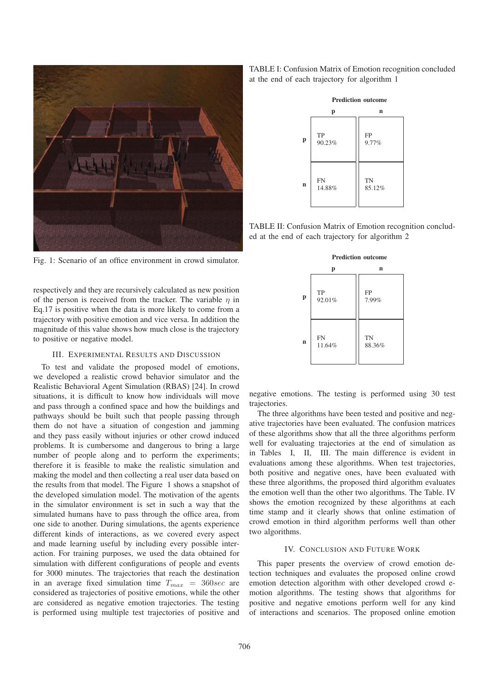

Fig. 1: Scenario of an office environment in crowd simulator.

respectively and they are recursively calculated as new position of the person is received from the tracker. The variable  $\eta$  in Eq.17 is positive when the data is more likely to come from a trajectory with positive emotion and vice versa. In addition the magnitude of this value shows how much close is the trajectory to positive or negative model.

## III. EXPERIMENTAL RESULTS AND DISCUSSION

To test and validate the proposed model of emotions, we developed a realistic crowd behavior simulator and the Realistic Behavioral Agent Simulation (RBAS) [24]. In crowd situations, it is difficult to know how individuals will move and pass through a confined space and how the buildings and pathways should be built such that people passing through them do not have a situation of congestion and jamming and they pass easily without injuries or other crowd induced problems. It is cumbersome and dangerous to bring a large number of people along and to perform the experiments; therefore it is feasible to make the realistic simulation and making the model and then collecting a real user data based on the results from that model. The Figure 1 shows a snapshot of the developed simulation model. The motivation of the agents in the simulator environment is set in such a way that the simulated humans have to pass through the office area, from one side to another. During simulations, the agents experience different kinds of interactions, as we covered every aspect and made learning useful by including every possible interaction. For training purposes, we used the data obtained for simulation with different configurations of people and events for 3000 minutes. The trajectories that reach the destination in an average fixed simulation time  $T_{max}$  = 360sec are considered as trajectories of positive emotions, while the other are considered as negative emotion trajectories. The testing is performed using multiple test trajectories of positive and

TABLE I: Confusion Matrix of Emotion recognition concluded at the end of each trajectory for algorithm 1



TABLE II: Confusion Matrix of Emotion recognition concluded at the end of each trajectory for algorithm 2

| <b>Prediction outcome</b> |                     |                     |  |  |
|---------------------------|---------------------|---------------------|--|--|
|                           | p                   | n                   |  |  |
| p                         | TP<br>92.01%        | FP<br>7.99%         |  |  |
| n                         | <b>FN</b><br>11.64% | <b>TN</b><br>88.36% |  |  |

negative emotions. The testing is performed using 30 test trajectories.

The three algorithms have been tested and positive and negative trajectories have been evaluated. The confusion matrices of these algorithms show that all the three algorithms perform well for evaluating trajectories at the end of simulation as in Tables I, II, III. The main difference is evident in evaluations among these algorithms. When test trajectories, both positive and negative ones, have been evaluated with these three algorithms, the proposed third algorithm evaluates the emotion well than the other two algorithms. The Table. IV shows the emotion recognized by these algorithms at each time stamp and it clearly shows that online estimation of crowd emotion in third algorithm performs well than other two algorithms.

## IV. CONCLUSION AND FUTURE WORK

This paper presents the overview of crowd emotion detection techniques and evaluates the proposed online crowd emotion detection algorithm with other developed crowd emotion algorithms. The testing shows that algorithms for positive and negative emotions perform well for any kind of interactions and scenarios. The proposed online emotion